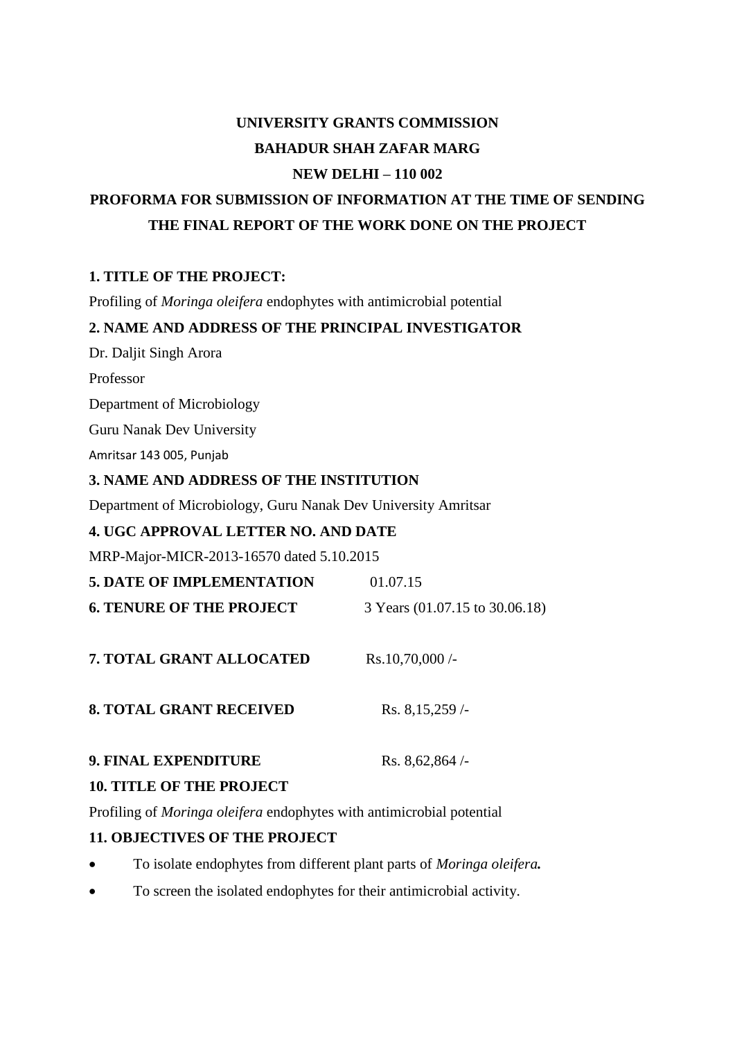# **UNIVERSITY GRANTS COMMISSION BAHADUR SHAH ZAFAR MARG NEW DELHI – 110 002**

## **PROFORMA FOR SUBMISSION OF INFORMATION AT THE TIME OF SENDING THE FINAL REPORT OF THE WORK DONE ON THE PROJECT**

#### **1. TITLE OF THE PROJECT:**

Profiling of *Moringa oleifera* endophytes with antimicrobial potential

#### **2. NAME AND ADDRESS OF THE PRINCIPAL INVESTIGATOR**

Dr. Daljit Singh Arora

Professor

Department of Microbiology

Guru Nanak Dev University

Amritsar 143 005, Punjab

#### **3. NAME AND ADDRESS OF THE INSTITUTION**

Department of Microbiology, Guru Nanak Dev University Amritsar

### **4. UGC APPROVAL LETTER NO. AND DATE**

MRP-Major-MICR-2013-16570 dated 5.10.2015

| <b>5. DATE OF IMPLEMENTATION</b> | 01.07.15                       |
|----------------------------------|--------------------------------|
| <b>6. TENURE OF THE PROJECT</b>  | 3 Years (01.07.15 to 30.06.18) |
|                                  |                                |
| <b>7. TOTAL GRANT ALLOCATED</b>  | $Rs.10,70,000/$ -              |
|                                  |                                |
| <b>8. TOTAL GRANT RECEIVED</b>   | Rs. 8,15,259/                  |
| 9. FINAL EXPENDITURE             | Rs. $8,62,864/$                |
|                                  |                                |

#### **10. TITLE OF THE PROJECT**

Profiling of *Moringa oleifera* endophytes with antimicrobial potential

#### **11. OBJECTIVES OF THE PROJECT**

- To isolate endophytes from different plant parts of *Moringa oleifera.*
- To screen the isolated endophytes for their antimicrobial activity.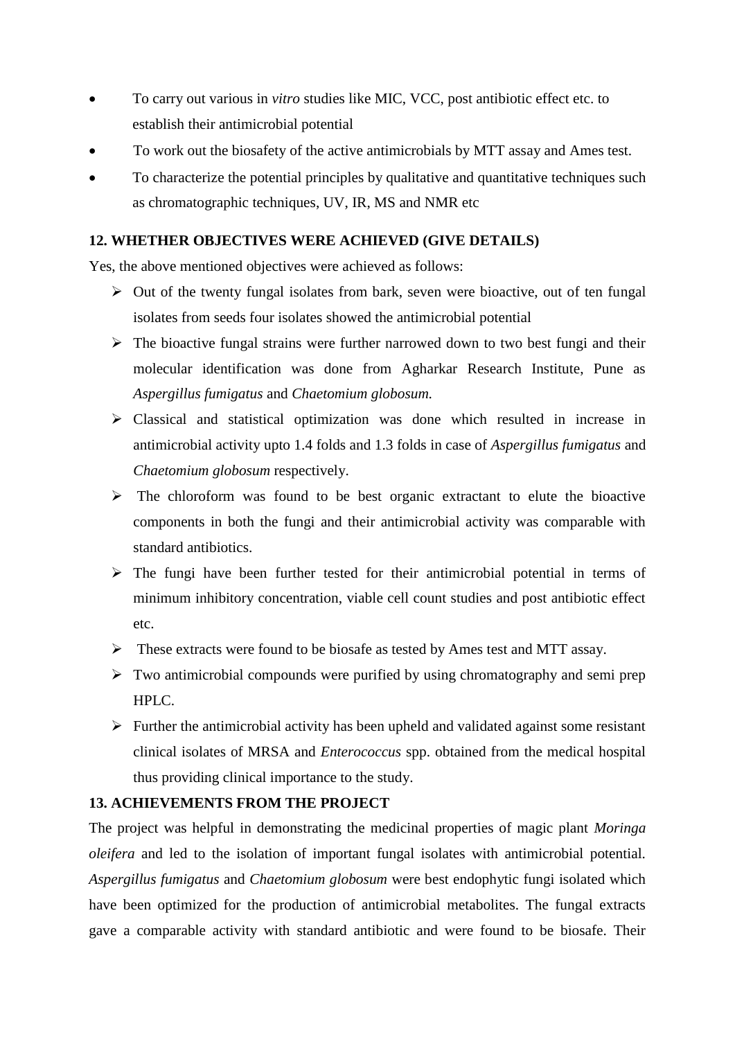- To carry out various in *vitro* studies like MIC, VCC, post antibiotic effect etc. to establish their antimicrobial potential
- To work out the biosafety of the active antimicrobials by MTT assay and Ames test.
- To characterize the potential principles by qualitative and quantitative techniques such as chromatographic techniques, UV, IR, MS and NMR etc

#### **12. WHETHER OBJECTIVES WERE ACHIEVED (GIVE DETAILS)**

Yes, the above mentioned objectives were achieved as follows:

- $\triangleright$  Out of the twenty fungal isolates from bark, seven were bioactive, out of ten fungal isolates from seeds four isolates showed the antimicrobial potential
- $\triangleright$  The bioactive fungal strains were further narrowed down to two best fungi and their molecular identification was done from Agharkar Research Institute, Pune as *Aspergillus fumigatus* and *Chaetomium globosum.*
- Classical and statistical optimization was done which resulted in increase in antimicrobial activity upto 1.4 folds and 1.3 folds in case of *Aspergillus fumigatus* and *Chaetomium globosum* respectively.
- $\triangleright$  The chloroform was found to be best organic extractant to elute the bioactive components in both the fungi and their antimicrobial activity was comparable with standard antibiotics.
- $\triangleright$  The fungi have been further tested for their antimicrobial potential in terms of minimum inhibitory concentration, viable cell count studies and post antibiotic effect etc.
- These extracts were found to be biosafe as tested by Ames test and MTT assay.
- $\triangleright$  Two antimicrobial compounds were purified by using chromatography and semi prep HPLC.
- $\triangleright$  Further the antimicrobial activity has been upheld and validated against some resistant clinical isolates of MRSA and *Enterococcus* spp. obtained from the medical hospital thus providing clinical importance to the study.

#### **13. ACHIEVEMENTS FROM THE PROJECT**

The project was helpful in demonstrating the medicinal properties of magic plant *Moringa oleifera* and led to the isolation of important fungal isolates with antimicrobial potential*. Aspergillus fumigatus* and *Chaetomium globosum* were best endophytic fungi isolated which have been optimized for the production of antimicrobial metabolites. The fungal extracts gave a comparable activity with standard antibiotic and were found to be biosafe. Their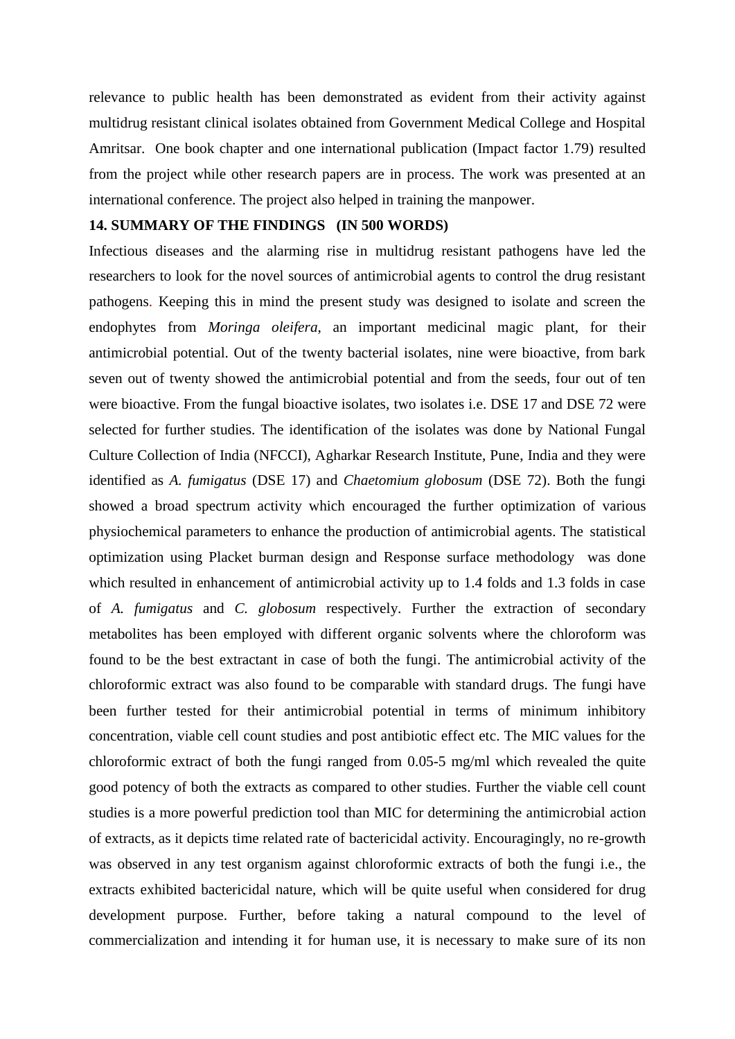relevance to public health has been demonstrated as evident from their activity against multidrug resistant clinical isolates obtained from Government Medical College and Hospital Amritsar. One book chapter and one international publication (Impact factor 1.79) resulted from the project while other research papers are in process. The work was presented at an international conference. The project also helped in training the manpower.

#### **14. SUMMARY OF THE FINDINGS (IN 500 WORDS)**

Infectious diseases and the alarming rise in multidrug resistant pathogens have led the researchers to look for the novel sources of antimicrobial agents to control the drug resistant pathogens. Keeping this in mind the present study was designed to isolate and screen the endophytes from *Moringa oleifera*, an important medicinal magic plant, for their antimicrobial potential. Out of the twenty bacterial isolates, nine were bioactive, from bark seven out of twenty showed the antimicrobial potential and from the seeds, four out of ten were bioactive. From the fungal bioactive isolates, two isolates i.e. DSE 17 and DSE 72 were selected for further studies. The identification of the isolates was done by National Fungal Culture Collection of India (NFCCI), Agharkar Research Institute, Pune, India and they were identified as *A. fumigatus* (DSE 17) and *Chaetomium globosum* (DSE 72). Both the fungi showed a broad spectrum activity which encouraged the further optimization of various physiochemical parameters to enhance the production of antimicrobial agents. The statistical optimization using Placket burman design and Response surface methodology was done which resulted in enhancement of antimicrobial activity up to 1.4 folds and 1.3 folds in case of *A. fumigatus* and *C. globosum* respectively. Further the extraction of secondary metabolites has been employed with different organic solvents where the chloroform was found to be the best extractant in case of both the fungi. The antimicrobial activity of the chloroformic extract was also found to be comparable with standard drugs. The fungi have been further tested for their antimicrobial potential in terms of minimum inhibitory concentration, viable cell count studies and post antibiotic effect etc. The MIC values for the chloroformic extract of both the fungi ranged from 0.05-5 mg/ml which revealed the quite good potency of both the extracts as compared to other studies. Further the viable cell count studies is a more powerful prediction tool than MIC for determining the antimicrobial action of extracts, as it depicts time related rate of bactericidal activity. Encouragingly, no re-growth was observed in any test organism against chloroformic extracts of both the fungi i.e., the extracts exhibited bactericidal nature, which will be quite useful when considered for drug development purpose. Further, before taking a natural compound to the level of commercialization and intending it for human use, it is necessary to make sure of its non